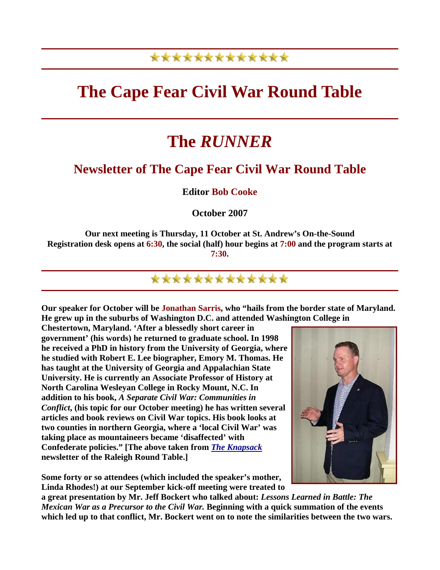## \*\*\*\*\*\*\*\*\*\*\*\*\*

## **The Cape Fear Civil War Round Table**

# **The** *RUNNER*

### **Newsletter of The Cape Fear Civil War Round Table**

#### **Editor Bob Cooke**

#### **October 2007**

**Our next meeting is Thursday, 11 October at St. Andrew's On-the-Sound Registration desk opens at 6:30, the social (half) hour begins at 7:00 and the program starts at 7:30.** 

### \*\*\*\*\*\*\*\*\*\*\*\*

**Our speaker for October will be Jonathan Sarris, who "hails from the border state of Maryland. He grew up in the suburbs of Washington D.C. and attended Washington College in** 

**Chestertown, Maryland. 'After a blessedly short career in government' (his words) he returned to graduate school. In 1998 he received a PhD in history from the University of Georgia, where he studied with Robert E. Lee biographer, Emory M. Thomas. He has taught at the University of Georgia and Appalachian State University. He is currently an Associate Professor of History at North Carolina Wesleyan College in Rocky Mount, N.C. In addition to his book,** *A Separate Civil War: Communities in Conflict***, (his topic for our October meeting) he has written several articles and book reviews on Civil War topics. His book looks at two counties in northern Georgia, where a 'local Civil War' was taking place as mountaineers became 'disaffected' with Confederate policies." [The above taken from** *[The Knapsack](http://www.raleighcwrt.org/newsletter2.htm)* **newsletter of the Raleigh Round Table.]** 

**Some forty or so attendees (which included the speaker's mother, Linda Rhodes!) at our September kick-off meeting were treated to** 



**a great presentation by Mr. Jeff Bockert who talked about:** *Lessons Learned in Battle: The Mexican War as a Precursor to the Civil War.* **Beginning with a quick summation of the events which led up to that conflict, Mr. Bockert went on to note the similarities between the two wars.**